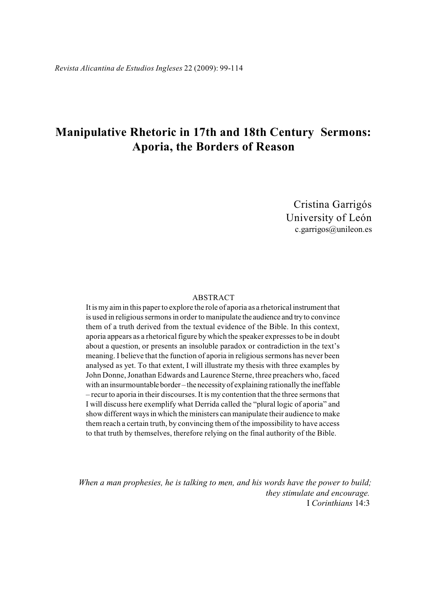# **Manipulative Rhetoric in 17th and 18th Century Sermons: Aporia, the Borders of Reason**

Cristina Garrigós University of León c.garrigos@unileon.es

# ABSTRACT

It is my aim in this paper to explore the role of aporia as a rhetorical instrument that is used in religious sermons in order to manipulate the audience and try to convince them of a truth derived from the textual evidence of the Bible. In this context, aporia appears as a rhetorical figure by which the speaker expresses to be in doubt about a question, or presents an insoluble paradox or contradiction in the text's meaning. I believe that the function of aporia in religious sermons has never been analysed as yet. To that extent, I will illustrate my thesis with three examples by John Donne, Jonathan Edwards and Laurence Sterne, three preachers who, faced with an insurmountable border – the necessity of explaining rationally the ineffable – recur to aporia in their discourses. It is my contention that the three sermons that I will discuss here exemplify what Derrida called the "plural logic of aporia" and show different ways in which the ministers can manipulate their audience to make them reach a certain truth, by convincing them of the impossibility to have access to that truth by themselves, therefore relying on the final authority of the Bible.

*When a man prophesies, he is talking to men, and his words have the power to build; they stimulate and encourage.*  I *Corinthians* 14:3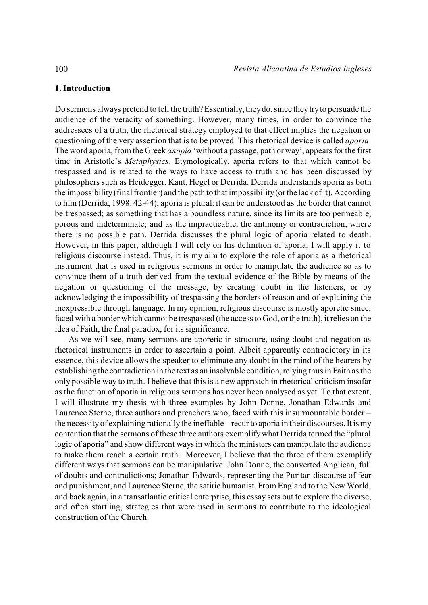# **1. Introduction**

Do sermons always pretend to tell the truth? Essentially, they do, since they try to persuade the audience of the veracity of something. However, many times, in order to convince the addressees of a truth, the rhetorical strategy employed to that effect implies the negation or questioning of the very assertion that is to be proved. This rhetorical device is called *aporia*. The word aporia, from the Greek  $\alpha \pi$ *opia* 'without a passage, path or way', appears for the first time in Aristotle's *Metaphysics*. Etymologically, aporia refers to that which cannot be trespassed and is related to the ways to have access to truth and has been discussed by philosophers such as Heidegger, Kant, Hegel or Derrida. Derrida understands aporia as both the impossibility (final frontier) and the path to that impossibility (or the lack of it). According to him (Derrida, 1998: 42-44), aporia is plural: it can be understood as the border that cannot be trespassed; as something that has a boundless nature, since its limits are too permeable, porous and indeterminate; and as the impracticable, the antinomy or contradiction, where there is no possible path. Derrida discusses the plural logic of aporia related to death. However, in this paper, although I will rely on his definition of aporia, I will apply it to religious discourse instead. Thus, it is my aim to explore the role of aporia as a rhetorical instrument that is used in religious sermons in order to manipulate the audience so as to convince them of a truth derived from the textual evidence of the Bible by means of the negation or questioning of the message, by creating doubt in the listeners, or by acknowledging the impossibility of trespassing the borders of reason and of explaining the inexpressible through language. In my opinion, religious discourse is mostly aporetic since, faced with a border which cannot be trespassed (the access to God, or the truth), it relies on the idea of Faith, the final paradox, for its significance.

As we will see, many sermons are aporetic in structure, using doubt and negation as rhetorical instruments in order to ascertain a point. Albeit apparently contradictory in its essence, this device allows the speaker to eliminate any doubt in the mind of the hearers by establishing the contradiction in the text as an insolvable condition, relying thus in Faith as the only possible way to truth. I believe that this is a new approach in rhetorical criticism insofar as the function of aporia in religious sermons has never been analysed as yet. To that extent, I will illustrate my thesis with three examples by John Donne, Jonathan Edwards and Laurence Sterne, three authors and preachers who, faced with this insurmountable border – the necessity of explaining rationally the ineffable – recur to aporia in their discourses. It is my contention that the sermons of these three authors exemplify what Derrida termed the "plural logic of aporia" and show different ways in which the ministers can manipulate the audience to make them reach a certain truth. Moreover, I believe that the three of them exemplify different ways that sermons can be manipulative: John Donne, the converted Anglican, full of doubts and contradictions; Jonathan Edwards, representing the Puritan discourse of fear and punishment, and Laurence Sterne, the satiric humanist. From England to the New World, and back again, in a transatlantic critical enterprise, this essay sets out to explore the diverse, and often startling, strategies that were used in sermons to contribute to the ideological construction of the Church.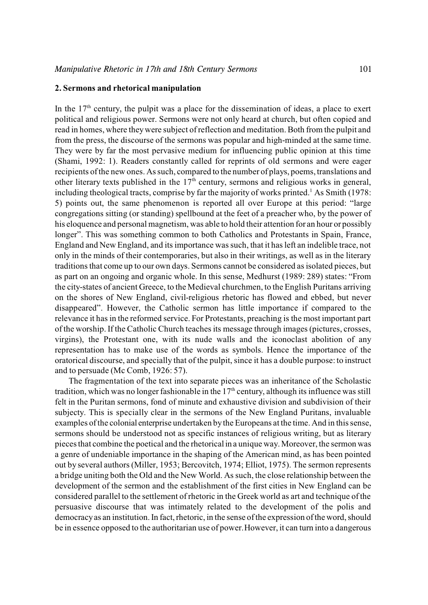# **2. Sermons and rhetorical manipulation**

In the  $17<sup>th</sup>$  century, the pulpit was a place for the dissemination of ideas, a place to exert political and religious power. Sermons were not only heard at church, but often copied and read in homes, where they were subject of reflection and meditation. Both from the pulpit and from the press, the discourse of the sermons was popular and high-minded at the same time. They were by far the most pervasive medium for influencing public opinion at this time (Shami, 1992: 1). Readers constantly called for reprints of old sermons and were eager recipients of the new ones. As such, compared to the number of plays, poems, translations and other literary texts published in the  $17<sup>th</sup>$  century, sermons and religious works in general, including theological tracts, comprise by far the majority of works printed.<sup>1</sup> As Smith (1978: 5) points out, the same phenomenon is reported all over Europe at this period: "large congregations sitting (or standing) spellbound at the feet of a preacher who, by the power of his eloquence and personal magnetism, was able to hold their attention for an hour or possibly longer". This was something common to both Catholics and Protestants in Spain, France, England and New England, and its importance wassuch, that it has left an indelible trace, not only in the minds of their contemporaries, but also in their writings, as well as in the literary traditions that come up to our own days. Sermons cannot be considered as isolated pieces, but as part on an ongoing and organic whole. In this sense, Medhurst (1989: 289) states: "From the city-states of ancient Greece, to the Medieval churchmen, to the English Puritans arriving on the shores of New England, civil-religious rhetoric has flowed and ebbed, but never disappeared". However, the Catholic sermon has little importance if compared to the relevance it has in the reformed service. For Protestants, preaching is the most important part of the worship. If the Catholic Church teaches its message through images (pictures, crosses, virgins), the Protestant one, with its nude walls and the iconoclast abolition of any representation has to make use of the words as symbols. Hence the importance of the oratorical discourse, and specially that of the pulpit, since it has a double purpose: to instruct and to persuade (Mc Comb, 1926: 57).

The fragmentation of the text into separate pieces was an inheritance of the Scholastic tradition, which was no longer fashionable in the  $17<sup>th</sup>$  century, although its influence was still felt in the Puritan sermons, fond of minute and exhaustive division and subdivision of their subjecty. This is specially clear in the sermons of the New England Puritans, invaluable examples of the colonial enterprise undertaken by the Europeans at the time. And in this sense, sermons should be understood not as specific instances of religious writing, but as literary pieces that combine the poetical and the rhetorical in a unique way. Moreover, the sermon was a genre of undeniable importance in the shaping of the American mind, as has been pointed out by several authors (Miller, 1953; Bercovitch, 1974; Elliot, 1975). The sermon represents a bridge uniting both the Old and the New World. As such, the close relationship between the development of the sermon and the establishment of the first cities in New England can be considered parallel to the settlement of rhetoric in the Greek world as art and technique of the persuasive discourse that was intimately related to the development of the polis and democracy as an institution. In fact, rhetoric, in the sense of the expression of the word, should be in essence opposed to the authoritarian use of power.However, it can turn into a dangerous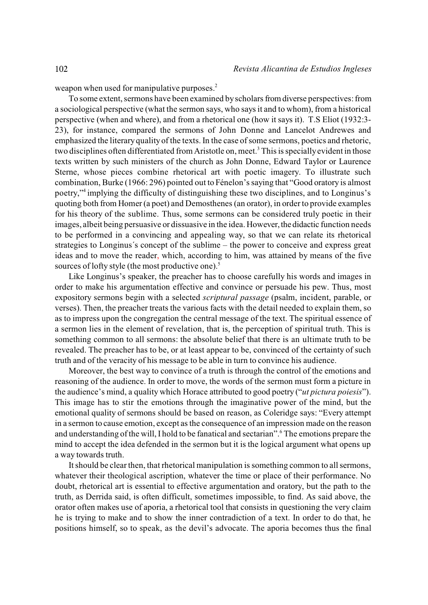weapon when used for manipulative purposes.<sup>2</sup>

To some extent, sermons have been examined by scholars from diverse perspectives: from a sociological perspective (what the sermon says, who says it and to whom), from a historical perspective (when and where), and from a rhetorical one (how it says it). T.S Eliot (1932:3- 23), for instance, compared the sermons of John Donne and Lancelot Andrewes and emphasized the literary quality of the texts. In the case of some sermons, poetics and rhetoric, two disciplines often differentiated from Aristotle on, meet.<sup>3</sup> This is specially evident in those texts written by such ministers of the church as John Donne, Edward Taylor or Laurence Sterne, whose pieces combine rhetorical art with poetic imagery. To illustrate such combination, Burke (1966: 296) pointed out to Fénelon's saying that "Good oratory is almost poetry," implying the difficulty of distinguishing these two disciplines, and to Longinus's quoting both from Homer (a poet) and Demosthenes (an orator), in order to provide examples for his theory of the sublime. Thus, some sermons can be considered truly poetic in their images, albeit being persuasive or dissuasive in the idea. However, the didactic function needs to be performed in a convincing and appealing way, so that we can relate its rhetorical strategies to Longinus´s concept of the sublime – the power to conceive and express great ideas and to move the reader, which, according to him, was attained by means of the five sources of lofty style (the most productive one).<sup>5</sup>

Like Longinus's speaker, the preacher has to choose carefully his words and images in order to make his argumentation effective and convince or persuade his pew. Thus, most expository sermons begin with a selected *scriptural passage* (psalm, incident, parable, or verses). Then, the preacher treats the various facts with the detail needed to explain them, so as to impress upon the congregation the central message of the text. The spiritual essence of a sermon lies in the element of revelation, that is, the perception of spiritual truth. This is something common to all sermons: the absolute belief that there is an ultimate truth to be revealed. The preacher has to be, or at least appear to be, convinced of the certainty of such truth and of the veracity of his message to be able in turn to convince his audience.

Moreover, the best way to convince of a truth is through the control of the emotions and reasoning of the audience. In order to move, the words of the sermon must form a picture in the audience's mind, a quality which Horace attributed to good poetry ("*ut pictura poiesis*"). This image has to stir the emotions through the imaginative power of the mind, but the emotional quality of sermons should be based on reason, as Coleridge says: "Every attempt in a sermon to cause emotion, except as the consequence of an impression made on the reason and understanding of the will, I hold to be fanatical and sectarian".<sup>6</sup> The emotions prepare the mind to accept the idea defended in the sermon but it is the logical argument what opens up a way towards truth.

It should be clear then, that rhetorical manipulation is something common to all sermons, whatever their theological ascription, whatever the time or place of their performance. No doubt, rhetorical art is essential to effective argumentation and oratory, but the path to the truth, as Derrida said, is often difficult, sometimes impossible, to find. As said above, the orator often makes use of aporia, a rhetorical tool that consists in questioning the very claim he is trying to make and to show the inner contradiction of a text. In order to do that, he positions himself, so to speak, as the devil's advocate. The aporia becomes thus the final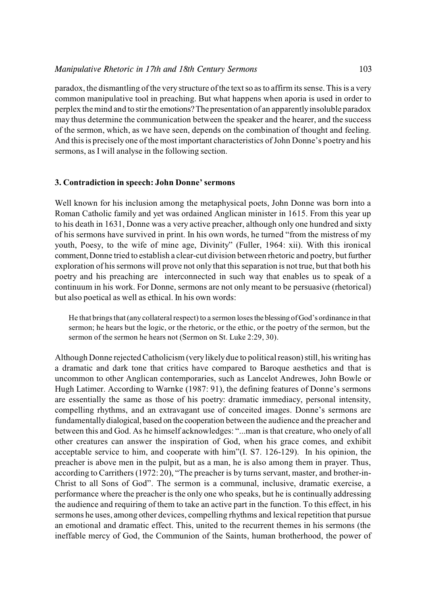paradox, the dismantling of the very structure of the textso asto affirm its sense. This is a very common manipulative tool in preaching. But what happens when aporia is used in order to perplex the mind and to stir the emotions? The presentation of an apparently insoluble paradox may thus determine the communication between the speaker and the hearer, and the success of the sermon, which, as we have seen, depends on the combination of thought and feeling. And this is precisely one of the most important characteristics of John Donne's poetry and his sermons, as I will analyse in the following section.

# **3. Contradiction in speech: John Donne' sermons**

Well known for his inclusion among the metaphysical poets, John Donne was born into a Roman Catholic family and yet was ordained Anglican minister in 1615. From this year up to his death in 1631, Donne was a very active preacher, although only one hundred and sixty of his sermons have survived in print. In his own words, he turned "from the mistress of my youth, Poesy, to the wife of mine age, Divinity" (Fuller, 1964: xii). With this ironical comment, Donne tried to establish a clear-cut division between rhetoric and poetry, but further exploration of his sermons will prove not only that thisseparation is not true, but that both his poetry and his preaching are interconnected in such way that enables us to speak of a continuum in his work. For Donne, sermons are not only meant to be persuasive (rhetorical) but also poetical as well as ethical. In his own words:

He that brings that (any collateral respect) to a sermon loses the blessing of God's ordinance in that sermon; he hears but the logic, or the rhetoric, or the ethic, or the poetry of the sermon, but the sermon of the sermon he hears not (Sermon on St. Luke 2:29, 30).

Although Donne rejected Catholicism (very likely due to political reason) still, his writing has a dramatic and dark tone that critics have compared to Baroque aesthetics and that is uncommon to other Anglican contemporaries, such as Lancelot Andrewes, John Bowle or Hugh Latimer. According to Warnke (1987: 91), the defining features of Donne's sermons are essentially the same as those of his poetry: dramatic immediacy, personal intensity, compelling rhythms, and an extravagant use of conceited images. Donne's sermons are fundamentally dialogical, based on the cooperation between the audience and the preacher and between this and God. As he himself acknowledges: "...man is that creature, who onely of all other creatures can answer the inspiration of God, when his grace comes, and exhibit acceptable service to him, and cooperate with him"(I. S7. 126-129). In his opinion, the preacher is above men in the pulpit, but as a man, he is also among them in prayer. Thus, according to Carrithers (1972: 20), "The preacher is by turns servant, master, and brother-in-Christ to all Sons of God". The sermon is a communal, inclusive, dramatic exercise, a performance where the preacher is the only one who speaks, but he is continually addressing the audience and requiring of them to take an active part in the function. To this effect, in his sermons he uses, among other devices, compelling rhythms and lexical repetition that pursue an emotional and dramatic effect. This, united to the recurrent themes in his sermons (the ineffable mercy of God, the Communion of the Saints, human brotherhood, the power of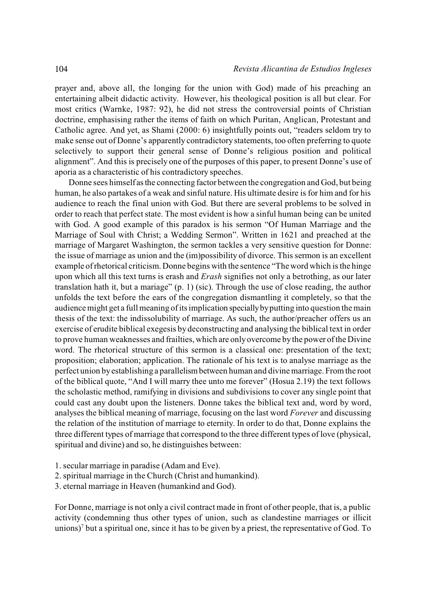prayer and, above all, the longing for the union with God) made of his preaching an entertaining albeit didactic activity. However, his theological position is all but clear. For most critics (Warnke, 1987: 92), he did not stress the controversial points of Christian doctrine, emphasising rather the items of faith on which Puritan, Anglican, Protestant and Catholic agree. And yet, as Shami (2000: 6) insightfully points out, "readers seldom try to make sense out of Donne's apparently contradictory statements, too often preferring to quote selectively to support their general sense of Donne's religious position and political alignment". And this is precisely one of the purposes of this paper, to present Donne's use of aporia as a characteristic of his contradictory speeches.

Donne sees himself as the connecting factor between the congregation and God, but being human, he also partakes of a weak and sinful nature. His ultimate desire is for him and for his audience to reach the final union with God. But there are several problems to be solved in order to reach that perfect state. The most evident is how a sinful human being can be united with God. A good example of this paradox is his sermon "Of Human Marriage and the Marriage of Soul with Christ; a Wedding Sermon". Written in 1621 and preached at the marriage of Margaret Washington, the sermon tackles a very sensitive question for Donne: the issue of marriage as union and the (im)possibility of divorce. This sermon is an excellent example of rhetorical criticism. Donne begins with the sentence "The word which is the hinge upon which all this text turns is erash and *Erash* signifies not only a betrothing, as our later translation hath it, but a mariage" (p. 1) (sic). Through the use of close reading, the author unfolds the text before the ears of the congregation dismantling it completely, so that the audience might get a full meaning of its implication specially by putting into question the main thesis of the text: the indissolubility of marriage. As such, the author/preacher offers us an exercise of erudite biblical exegesis by deconstructing and analysing the biblical text in order to prove human weaknesses and frailties, which are only overcome by the power of the Divine word. The rhetorical structure of this sermon is a classical one: presentation of the text; proposition; elaboration; application. The rationale of his text is to analyse marriage as the perfect union by establishing a parallelism between human and divine marriage. From the root of the biblical quote, "And I will marry thee unto me forever" (Hosua 2.19) the text follows the scholastic method, ramifying in divisions and subdivisions to cover any single point that could cast any doubt upon the listeners. Donne takes the biblical text and, word by word, analyses the biblical meaning of marriage, focusing on the last word *Forever* and discussing the relation of the institution of marriage to eternity. In order to do that, Donne explains the three different types of marriage that correspond to the three different types of love (physical, spiritual and divine) and so, he distinguishes between:

- 1. secular marriage in paradise (Adam and Eve).
- 2. spiritual marriage in the Church (Christ and humankind).
- 3. eternal marriage in Heaven (humankind and God).

For Donne, marriage is not only a civil contract made in front of other people, that is, a public activity (condemning thus other types of union, such as clandestine marriages or illicit unions)<sup> $\gamma$ </sup> but a spiritual one, since it has to be given by a priest, the representative of God. To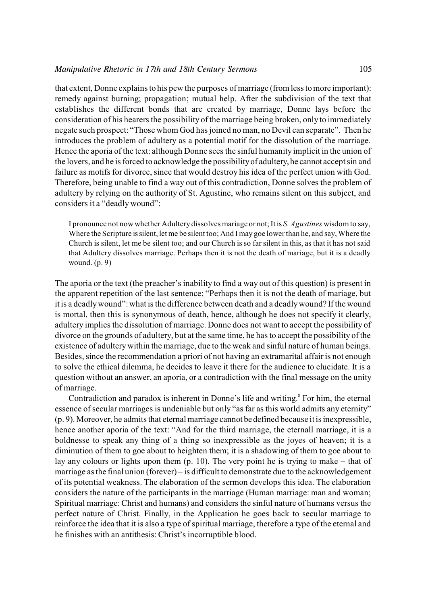that extent, Donne explains to his pew the purposes of marriage (from less to more important): remedy against burning; propagation; mutual help. After the subdivision of the text that establishes the different bonds that are created by marriage, Donne lays before the consideration of his hearers the possibility of the marriage being broken, only to immediately negate such prospect: "Those whom God has joined no man, no Devil can separate". Then he introduces the problem of adultery as a potential motif for the dissolution of the marriage. Hence the aporia of the text: although Donne sees the sinful humanity implicit in the union of the lovers, and he is forced to acknowledge the possibility of adultery, he cannot accept sin and failure as motifs for divorce, since that would destroy his idea of the perfect union with God. Therefore, being unable to find a way out of this contradiction, Donne solves the problem of adultery by relying on the authority of St. Agustine, who remains silent on this subject, and considers it a "deadly wound":

I pronounce not now whether Adultery dissolves mariage or not; It is *S. Agustines* wisdom to say, Where the Scripture is silent, let me be silent too; And I may goe lower than he, and say, Where the Church is silent, let me be silent too; and our Church is so far silent in this, as that it has not said that Adultery dissolves marriage. Perhaps then it is not the death of mariage, but it is a deadly wound. (p. 9)

The aporia or the text (the preacher's inability to find a way out of this question) is present in the apparent repetition of the last sentence: "Perhaps then it is not the death of mariage, but it is a deadly wound": what is the difference between death and a deadly wound? If the wound is mortal, then this is synonymous of death, hence, although he does not specify it clearly, adultery implies the dissolution of marriage. Donne does not want to accept the possibility of divorce on the grounds of adultery, but at the same time, he has to accept the possibility of the existence of adultery within the marriage, due to the weak and sinful nature of human beings. Besides, since the recommendation a priori of not having an extramarital affair is not enough to solve the ethical dilemma, he decides to leave it there for the audience to elucidate. It is a question without an answer, an aporia, or a contradiction with the final message on the unity of marriage.

Contradiction and paradox is inherent in Donne's life and writing.<sup>8</sup> For him, the eternal essence of secular marriages is undeniable but only "as far as this world admits any eternity" (p. 9). Moreover, he admits that eternal marriage cannot be defined because it is inexpressible, hence another aporia of the text: "And for the third marriage, the eternall marriage, it is a boldnesse to speak any thing of a thing so inexpressible as the joyes of heaven; it is a diminution of them to goe about to heighten them; it is a shadowing of them to goe about to lay any colours or lights upon them (p. 10). The very point he is trying to make – that of marriage as the final union (forever) – is difficult to demonstrate due to the acknowledgement of its potential weakness. The elaboration of the sermon develops this idea. The elaboration considers the nature of the participants in the marriage (Human marriage: man and woman; Spiritual marriage: Christ and humans) and considers the sinful nature of humans versus the perfect nature of Christ. Finally, in the Application he goes back to secular marriage to reinforce the idea that it is also a type of spiritual marriage, therefore a type of the eternal and he finishes with an antithesis: Christ's incorruptible blood.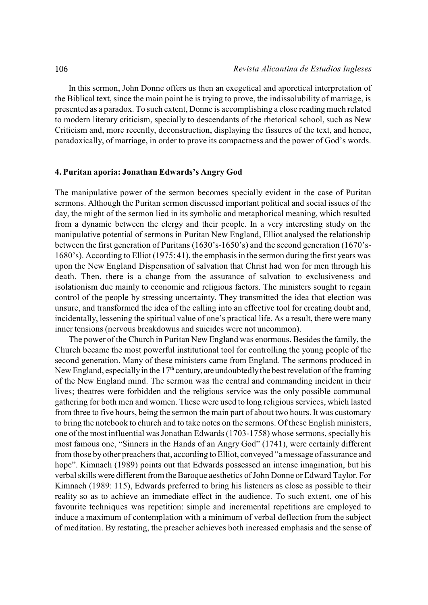In this sermon, John Donne offers us then an exegetical and aporetical interpretation of the Biblical text, since the main point he is trying to prove, the indissolubility of marriage, is presented as a paradox. To such extent, Donne is accomplishing a close reading much related to modern literary criticism, specially to descendants of the rhetorical school, such as New Criticism and, more recently, deconstruction, displaying the fissures of the text, and hence, paradoxically, of marriage, in order to prove its compactness and the power of God's words.

# **4. Puritan aporia: Jonathan Edwards's Angry God**

The manipulative power of the sermon becomes specially evident in the case of Puritan sermons. Although the Puritan sermon discussed important political and social issues of the day, the might of the sermon lied in its symbolic and metaphorical meaning, which resulted from a dynamic between the clergy and their people. In a very interesting study on the manipulative potential of sermons in Puritan New England, Elliot analysed the relationship between the first generation of Puritans (1630's-1650's) and the second generation (1670's-1680's). According to Elliot (1975: 41), the emphasis in the sermon during the first years was upon the New England Dispensation of salvation that Christ had won for men through his death. Then, there is a change from the assurance of salvation to exclusiveness and isolationism due mainly to economic and religious factors. The ministers sought to regain control of the people by stressing uncertainty. They transmitted the idea that election was unsure, and transformed the idea of the calling into an effective tool for creating doubt and, incidentally, lessening the spiritual value of one's practical life. As a result, there were many inner tensions (nervous breakdowns and suicides were not uncommon).

The power of the Church in Puritan New England was enormous. Besides the family, the Church became the most powerful institutional tool for controlling the young people of the second generation. Many of these ministers came from England. The sermons produced in New England, especially in the  $17<sup>th</sup>$  century, are undoubtedly the best revelation of the framing of the New England mind. The sermon was the central and commanding incident in their lives; theatres were forbidden and the religious service was the only possible communal gathering for both men and women. These were used to long religious services, which lasted from three to five hours, being the sermon the main part of about two hours. It was customary to bring the notebook to church and to take notes on the sermons. Of these English ministers, one of the most influential was Jonathan Edwards (1703-1758) whose sermons, specially his most famous one, "Sinners in the Hands of an Angry God" (1741), were certainly different from those by other preachers that, according to Elliot, conveyed "a message of assurance and hope". Kimnach (1989) points out that Edwards possessed an intense imagination, but his verbal skills were different from the Baroque aesthetics of John Donne or Edward Taylor. For Kimnach (1989: 115), Edwards preferred to bring his listeners as close as possible to their reality so as to achieve an immediate effect in the audience. To such extent, one of his favourite techniques was repetition: simple and incremental repetitions are employed to induce a maximum of contemplation with a minimum of verbal deflection from the subject of meditation. By restating, the preacher achieves both increased emphasis and the sense of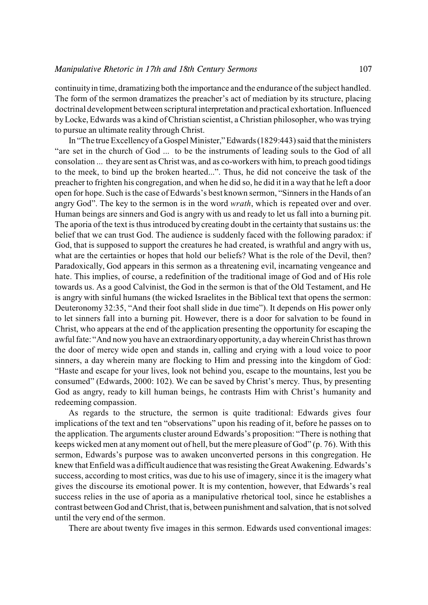continuityin time, dramatizing both the importance and the endurance of the subject handled. The form of the sermon dramatizes the preacher's act of mediation by its structure, placing doctrinal development between scriptural interpretation and practical exhortation. Influenced by Locke, Edwards was a kind of Christian scientist, a Christian philosopher, who was trying to pursue an ultimate reality through Christ.

In "The true Excellency of a Gospel Minister," Edwards (1829:443) said that the ministers "are set in the church of God ... to be the instruments of leading souls to the God of all consolation ... they are sent as Christ was, and as co-workers with him, to preach good tidings to the meek, to bind up the broken hearted...". Thus, he did not conceive the task of the preacher to frighten his congregation, and when he did so, he did it in a way that he left a door open for hope. Such is the case of Edwards's best known sermon, "Sinners in the Hands of an angry God". The key to the sermon is in the word *wrath*, which is repeated over and over. Human beings are sinners and God is angry with us and ready to let us fall into a burning pit. The aporia of the text is thus introduced by creating doubt in the certainty that sustains us: the belief that we can trust God. The audience is suddenly faced with the following paradox: if God, that is supposed to support the creatures he had created, is wrathful and angry with us, what are the certainties or hopes that hold our beliefs? What is the role of the Devil, then? Paradoxically, God appears in this sermon as a threatening evil, incarnating vengeance and hate. This implies, of course, a redefinition of the traditional image of God and of His role towards us. As a good Calvinist, the God in the sermon is that of the Old Testament, and He is angry with sinful humans (the wicked Israelites in the Biblical text that opens the sermon: Deuteronomy 32:35, "And their foot shall slide in due time"). It depends on His power only to let sinners fall into a burning pit. However, there is a door for salvation to be found in Christ, who appears at the end of the application presenting the opportunity for escaping the awful fate: "And now you have an extraordinary opportunity, a day wherein Christ has thrown the door of mercy wide open and stands in, calling and crying with a loud voice to poor sinners, a day wherein many are flocking to Him and pressing into the kingdom of God: "Haste and escape for your lives, look not behind you, escape to the mountains, lest you be consumed" (Edwards, 2000: 102). We can be saved by Christ's mercy. Thus, by presenting God as angry, ready to kill human beings, he contrasts Him with Christ's humanity and redeeming compassion.

As regards to the structure, the sermon is quite traditional: Edwards gives four implications of the text and ten "observations" upon his reading of it, before he passes on to the application. The arguments cluster around Edwards's proposition: "There is nothing that keeps wicked men at anymoment out of hell, but the mere pleasure of God" (p. 76). With this sermon, Edwards's purpose was to awaken unconverted persons in this congregation. He knew that Enfield was a difficult audience that was resisting the Great Awakening. Edwards's success, according to most critics, was due to his use of imagery, since it is the imagery what gives the discourse its emotional power. It is my contention, however, that Edwards's real success relies in the use of aporia as a manipulative rhetorical tool, since he establishes a contrast between God and Christ, that is, between punishment and salvation, that is not solved until the very end of the sermon.

There are about twenty five images in this sermon. Edwards used conventional images: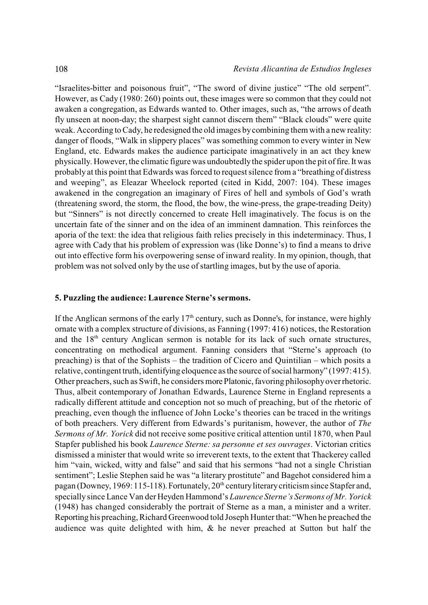"Israelites-bitter and poisonous fruit", "The sword of divine justice" "The old serpent". However, as Cady (1980: 260) points out, these images were so common that they could not awaken a congregation, as Edwards wanted to. Other images, such as, "the arrows of death fly unseen at noon-day; the sharpest sight cannot discern them" "Black clouds" were quite weak. According to Cady, he redesigned the old images by combining them with a new reality: danger of floods, "Walk in slippery places" was something common to every winter in New England, etc. Edwards makes the audience participate imaginatively in an act they knew physically. However, the climatic figure was undoubtedly the spider upon the pit of fire. It was probably at this point that Edwards was forced to request silence from a "breathing of distress and weeping", as Eleazar Wheelock reported (cited in Kidd, 2007: 104). These images awakened in the congregation an imaginary of Fires of hell and symbols of God's wrath (threatening sword, the storm, the flood, the bow, the wine-press, the grape-treading Deity) but "Sinners" is not directly concerned to create Hell imaginatively. The focus is on the uncertain fate of the sinner and on the idea of an imminent damnation. This reinforces the aporia of the text: the idea that religious faith relies precisely in this indeterminacy. Thus, I agree with Cady that his problem of expression was (like Donne's) to find a means to drive out into effective form his overpowering sense of inward reality. In my opinion, though, that problem was not solved only by the use of startling images, but by the use of aporia.

# **5. Puzzling the audience: Laurence Sterne's sermons.**

If the Anglican sermons of the early  $17<sup>th</sup>$  century, such as Donne's, for instance, were highly ornate with a complex structure of divisions, as Fanning (1997: 416) notices, the Restoration and the  $18<sup>th</sup>$  century Anglican sermon is notable for its lack of such ornate structures, concentrating on methodical argument. Fanning considers that "Sterne's approach (to preaching) is that of the Sophists – the tradition of Cicero and Quintilian – which posits a relative, contingent truth, identifying eloquence as the source of social harmony" (1997: 415). Other preachers, such as Swift, he considers more Platonic, favoring philosophy over rhetoric. Thus, albeit contemporary of Jonathan Edwards, Laurence Sterne in England represents a radically different attitude and conception not so much of preaching, but of the rhetoric of preaching, even though the influence of John Locke's theories can be traced in the writings of both preachers. Very different from Edwards's puritanism, however, the author of *The Sermons of Mr. Yorick* did not receive some positive critical attention until 1870, when Paul Stapfer published his book *Laurence Sterne: sa personne et ses ouvrages*. Victorian critics dismissed a minister that would write so irreverent texts, to the extent that Thackerey called him "vain, wicked, witty and false" and said that his sermons "had not a single Christian sentiment"; Leslie Stephen said he was "a literary prostitute" and Bagehot considered him a pagan (Downey, 1969: 115-118). Fortunately, 20<sup>th</sup> century literary criticism since Stapfer and, specially since Lance Van der Heyden Hammond's *Laurence Sterne's Sermons of Mr. Yorick* (1948) has changed considerably the portrait of Sterne as a man, a minister and a writer. Reporting his preaching, Richard Greenwood told Joseph Hunter that: "When he preached the audience was quite delighted with him, & he never preached at Sutton but half the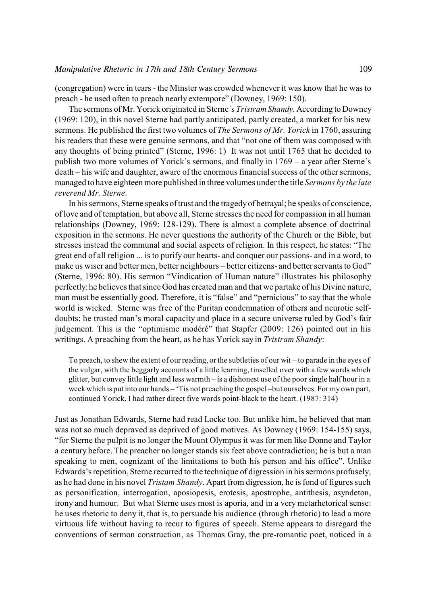(congregation) were in tears - the Minster was crowded whenever it was know that he was to preach - he used often to preach nearly extempore" (Downey, 1969: 150).

The sermons of Mr. Yorick originated in Sterne´s *Tristram Shandy.* According to Downey (1969: 120), in this novel Sterne had partly anticipated, partly created, a market for his new sermons. He published the first two volumes of *The Sermons of Mr. Yorick* in 1760, assuring his readers that these were genuine sermons, and that "not one of them was composed with any thoughts of being printed" (Sterne, 1996: 1) It was not until 1765 that he decided to publish two more volumes of Yorick´s sermons, and finally in 1769 – a year after Sterne´s death – his wife and daughter, aware of the enormous financial success of the other sermons, managed to have eighteen more published in three volumes under the title *Sermons by the late reverend Mr. Sterne*.

In his sermons, Sterne speaks oftrust and the tragedyof betrayal; he speaks of conscience, of love and of temptation, but above all, Sterne stresses the need for compassion in all human relationships (Downey, 1969: 128-129). There is almost a complete absence of doctrinal exposition in the sermons. He never questions the authority of the Church or the Bible, but stresses instead the communal and social aspects of religion. In this respect, he states: "The great end of all religion ... is to purify our hearts- and conquer our passions- and in a word, to make us wiser and better men, better neighbours – better citizens- and better servants to God" (Sterne, 1996: 80). His sermon "Vindication of Human nature" illustrates his philosophy perfectly: he believes that since God has created man and that we partake of his Divine nature, man must be essentially good. Therefore, it is "false" and "pernicious" to say that the whole world is wicked. Sterne was free of the Puritan condemnation of others and neurotic selfdoubts; he trusted man's moral capacity and place in a secure universe ruled by God's fair judgement. This is the "optimisme modéré" that Stapfer (2009: 126) pointed out in his writings. A preaching from the heart, as he has Yorick say in *Tristram Shandy*:

To preach, to shew the extent of our reading, orthe subtleties of our wit – to parade in the eyes of the vulgar, with the beggarly accounts of a little learning, tinselled over with a few words which glitter, but convey little light and less warmth – is a dishonest use of the poor single half hour in a week which is put into our hands – 'Tis not preaching the gospel –but ourselves. For my own part, continued Yorick, I had rather direct five words point-black to the heart. (1987: 314)

Just as Jonathan Edwards, Sterne had read Locke too. But unlike him, he believed that man was not so much depraved as deprived of good motives. As Downey (1969: 154-155) says, "for Sterne the pulpit is no longer the Mount Olympus it was for men like Donne and Taylor a century before. The preacher no longer stands six feet above contradiction; he is but a man speaking to men, cognizant of the limitations to both his person and his office". Unlike Edwards's repetition, Sterne recurred to the technique of digression in hissermons profusely, as he had done in his novel *Tristam Shandy*. Apart from digression, he is fond of figures such as personification, interrogation, aposiopesis, erotesis, apostrophe, antithesis, asyndeton, irony and humour. But what Sterne uses most is aporia, and in a very metarhetorical sense: he uses rhetoric to deny it, that is, to persuade his audience (through rhetoric) to lead a more virtuous life without having to recur to figures of speech. Sterne appears to disregard the conventions of sermon construction, as Thomas Gray, the pre-romantic poet, noticed in a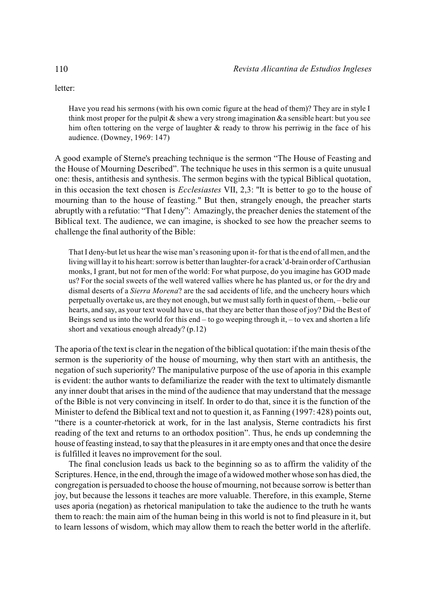letter:

Have you read his sermons (with his own comic figure at the head of them)? They are in style I think most proper for the pulpit  $\&$  shew a very strong imagination  $\&$  a sensible heart: but you see him often tottering on the verge of laughter & ready to throw his perriwig in the face of his audience. (Downey, 1969: 147)

A good example of Sterne's preaching technique is the sermon "The House of Feasting and the House of Mourning Described". The technique he uses in this sermon is a quite unusual one: thesis, antithesis and synthesis. The sermon begins with the typical Biblical quotation, in this occasion the text chosen is *Ecclesiastes* VII, 2,3: "It is better to go to the house of mourning than to the house of feasting." But then, strangely enough, the preacher starts abruptly with a refutatio: "That I deny": Amazingly, the preacher denies the statement of the Biblical text. The audience, we can imagine, is shocked to see how the preacher seems to challenge the final authority of the Bible:

That I deny-but let us hear the wise man's reasoning upon it- for that is the end of all men, and the living will lay it to his heart: sorrow is better than laughter-for a crack'd-brain order of Carthusian monks, I grant, but not for men of the world: For what purpose, do you imagine has GOD made us? For the social sweets of the well watered vallies where he has planted us, or for the dry and dismal deserts of a *Sierra Morena*? are the sad accidents of life, and the uncheery hours which perpetually overtake us, are they not enough, but we must sally forth in quest of them, – belie our hearts, and say, as your text would have us, that they are better than those of joy? Did the Best of Beings send us into the world for this end – to go weeping through it, – to vex and shorten a life short and vexatious enough already? (p.12)

The aporia of the text is clear in the negation of the biblical quotation: if the main thesis of the sermon is the superiority of the house of mourning, why then start with an antithesis, the negation of such superiority? The manipulative purpose of the use of aporia in this example is evident: the author wants to defamiliarize the reader with the text to ultimately dismantle any inner doubt that arises in the mind of the audience that may understand that the message of the Bible is not very convincing in itself. In order to do that, since it is the function of the Minister to defend the Biblical text and not to question it, as Fanning (1997: 428) points out, "there is a counter-rhetorick at work, for in the last analysis, Sterne contradicts his first reading of the text and returns to an orthodox position". Thus, he ends up condemning the house of feasting instead, to say that the pleasures in it are empty ones and that once the desire is fulfilled it leaves no improvement for the soul.

The final conclusion leads us back to the beginning so as to affirm the validity of the Scriptures. Hence, in the end, through the image of a widowed mother whose son has died, the congregation is persuaded to choose the house of mourning, not because sorrow is better than joy, but because the lessons it teaches are more valuable. Therefore, in this example, Sterne uses aporia (negation) as rhetorical manipulation to take the audience to the truth he wants them to reach: the main aim of the human being in this world is not to find pleasure in it, but to learn lessons of wisdom, which may allow them to reach the better world in the afterlife.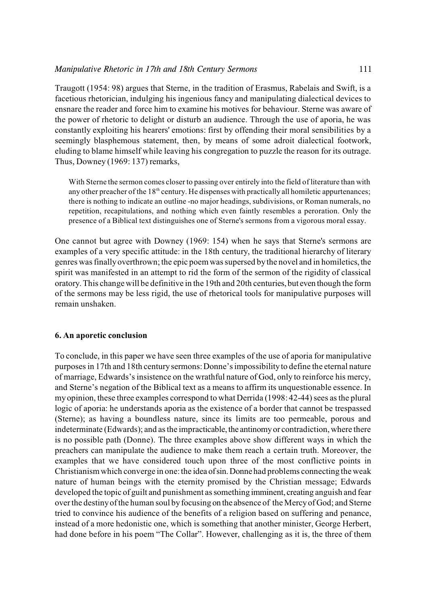Traugott (1954: 98) argues that Sterne, in the tradition of Erasmus, Rabelais and Swift, is a facetious rhetorician, indulging his ingenious fancy and manipulating dialectical devices to ensnare the reader and force him to examine his motives for behaviour. Sterne was aware of the power of rhetoric to delight or disturb an audience. Through the use of aporia, he was constantly exploiting his hearers' emotions: first by offending their moral sensibilities by a seemingly blasphemous statement, then, by means of some adroit dialectical footwork, eluding to blame himself while leaving his congregation to puzzle the reason for its outrage. Thus, Downey (1969: 137) remarks,

With Sterne the sermon comes closer to passing over entirely into the field of literature than with any other preacher of the  $18<sup>th</sup>$  century. He dispenses with practically all homiletic appurtenances; there is nothing to indicate an outline -no major headings, subdivisions, or Roman numerals, no repetition, recapitulations, and nothing which even faintly resembles a peroration. Only the presence of a Biblical text distinguishes one of Sterne's sermons from a vigorous moral essay.

One cannot but agree with Downey (1969: 154) when he says that Sterne's sermons are examples of a very specific attitude: in the 18th century, the traditional hierarchy of literary genres was finally overthrown; the epic poem was supersed by the novel and in homiletics, the spirit was manifested in an attempt to rid the form of the sermon of the rigidity of classical oratory. This change will be definitive in the 19th and 20th centuries, but even though the form of the sermons may be less rigid, the use of rhetorical tools for manipulative purposes will remain unshaken.

# **6. An aporetic conclusion**

To conclude, in this paper we have seen three examples of the use of aporia for manipulative purposes in 17th and 18th centurysermons:Donne'simpossibilityto define the eternal nature of marriage, Edwards'sinsistence on the wrathful nature of God, only to reinforce his mercy, and Sterne's negation of the Biblical text as a means to affirm its unquestionable essence. In my opinion, these three examples correspond to what Derrida (1998: 42-44) sees as the plural logic of aporia: he understands aporia as the existence of a border that cannot be trespassed (Sterne); as having a boundless nature, since its limits are too permeable, porous and indeterminate (Edwards); and as the impracticable, the antinomy or contradiction, where there is no possible path (Donne). The three examples above show different ways in which the preachers can manipulate the audience to make them reach a certain truth. Moreover, the examples that we have considered touch upon three of the most conflictive points in Christianism which converge in one: the idea of sin. Donne had problems connecting the weak nature of human beings with the eternity promised by the Christian message; Edwards developed the topic of guilt and punishment as something imminent, creating anguish and fear over the destiny of the human soul by focusing on the absence of the Mercy of God; and Sterne tried to convince his audience of the benefits of a religion based on suffering and penance, instead of a more hedonistic one, which is something that another minister, George Herbert, had done before in his poem "The Collar". However, challenging as it is, the three of them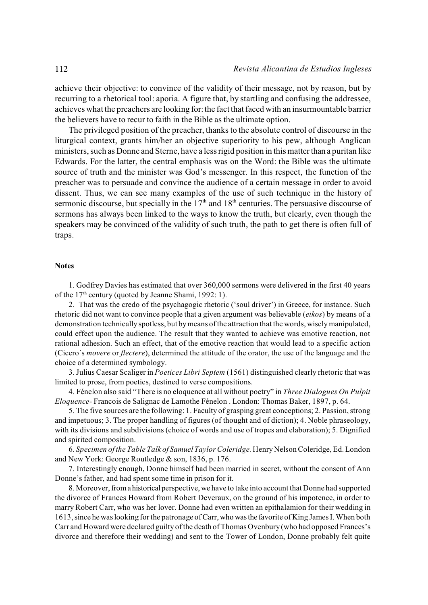achieve their objective: to convince of the validity of their message, not by reason, but by recurring to a rhetorical tool: aporia. A figure that, by startling and confusing the addressee, achieves what the preachers are looking for: the fact that faced with an insurmountable barrier the believers have to recur to faith in the Bible as the ultimate option.

The privileged position of the preacher, thanks to the absolute control of discourse in the liturgical context, grants him/her an objective superiority to his pew, although Anglican ministers, such as Donne and Sterne, have a less rigid position in this matter than a puritan like Edwards. For the latter, the central emphasis was on the Word: the Bible was the ultimate source of truth and the minister was God's messenger. In this respect, the function of the preacher was to persuade and convince the audience of a certain message in order to avoid dissent. Thus, we can see many examples of the use of such technique in the history of sermonic discourse, but specially in the  $17<sup>th</sup>$  and  $18<sup>th</sup>$  centuries. The persuasive discourse of sermons has always been linked to the ways to know the truth, but clearly, even though the speakers may be convinced of the validity of such truth, the path to get there is often full of traps.

### **Notes**

1. Godfrey Davies has estimated that over 360,000 sermons were delivered in the first 40 years of the  $17<sup>th</sup>$  century (quoted by Jeanne Shami, 1992: 1).

2. That was the credo of the psychagogic rhetoric ('soul driver') in Greece, for instance. Such rhetoric did not want to convince people that a given argument was believable (*eikos*) by means of a demonstration technically spotless, but bymeans ofthe attraction that the words, wisely manipulated, could effect upon the audience. The result that they wanted to achieve was emotive reaction, not rational adhesion. Such an effect, that of the emotive reaction that would lead to a specific action (Cicero´s *movere* or *flectere*), determined the attitude of the orator, the use of the language and the choice of a determined symbology.

3. Julius Caesar Scaliger in *Poetices Libri Septem* (1561) distinguished clearly rhetoric that was limited to prose, from poetics, destined to verse compositions.

4. Fénelon also said "There is no eloquence at all without poetry" in *Three Dialogues On Pulpit Eloquence*- Francois de Salignac de Lamothe Fénelon . London: Thomas Baker, 1897, p. 64.

5. The five sources are the following: 1. Faculty of grasping great conceptions; 2. Passion, strong and impetuous; 3. The proper handling of figures (of thought and of diction); 4. Noble phraseology, with its divisions and subdivisions (choice of words and use of tropes and elaboration); 5. Dignified and spirited composition.

6. *Specimen of the Table Talk of Samuel Taylor Coleridge.* Henry Nelson Coleridge, Ed. London and New York: George Routledge & son, 1836, p. 176.

7. Interestingly enough, Donne himself had been married in secret, without the consent of Ann Donne's father, and had spent some time in prison for it.

8. Moreover, from a historical perspective, we have to take into account that Donne had supported the divorce of Frances Howard from Robert Deveraux, on the ground of his impotence, in order to marry Robert Carr, who was her lover. Donne had even written an epithalamion for their wedding in 1613, since he was looking for the patronage of Carr, who was the favorite of King James I. When both Carr and Howard were declared guilty ofthe death of Thomas Ovenbury (who had opposed Frances's divorce and therefore their wedding) and sent to the Tower of London, Donne probably felt quite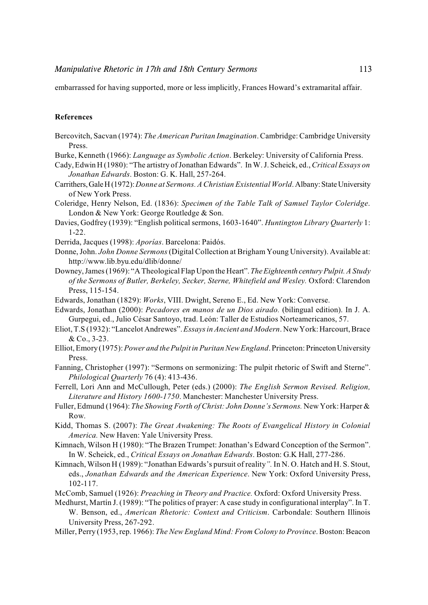embarrassed for having supported, more or less implicitly, Frances Howard's extramarital affair.

## **References**

- Bercovitch, Sacvan (1974): *The American Puritan Imagination*.Cambridge: Cambridge University Press.
- Burke, Kenneth (1966): *Language as Symbolic Action*. Berkeley: University of California Press.
- Cady, Edwin H (1980): "The artistry of Jonathan Edwards". In W. J. Scheick, ed., *Critical Essays on Jonathan Edwards*. Boston: G. K. Hall, 257-264.
- Carrithers, Gale H (1972): *Donne at Sermons. A Christian Existential World*. Albany: State University of New York Press.
- Coleridge, Henry Nelson, Ed. (1836): *Specimen of the Table Talk of Samuel Taylor Coleridge*. London & New York: George Routledge & Son.
- Davies, Godfrey (1939): "English political sermons, 1603-1640". *Huntington Library Quarterly* 1: 1-22.
- Derrida, Jacques (1998): *Aporías*. Barcelona: Paidós.
- Donne, John. *John Donne Sermons* (Digital Collection at Brigham Young University). Available at: http://www.lib.byu.edu/dlib/donne/
- Downey, James (1969): "A Theological Flap Upon the Heart". *The Eighteenth century Pulpit. A Study of the Sermons of Butler, Berkeley, Secker, Sterne, Whitefield and Wesley.* Oxford: Clarendon Press, 115-154.
- Edwards, Jonathan (1829): *Works*, VIII. Dwight, Sereno E., Ed. New York: Converse.
- Edwards, Jonathan (2000): *Pecadores en manos de un Dios airado.* (bilingual edition). In J. A. Gurpegui, ed., Julio César Santoyo, trad. León: Taller de Estudios Norteamericanos, 57.
- Eliot, T.S (1932): "Lancelot Andrewes". *Essays in Ancient and Modern*. New York: Harcourt, Brace & Co., 3-23.
- Elliot, Emory (1975): *Power and the Pulpit in Puritan New England*. Princeton: Princeton University Press.
- Fanning, Christopher (1997): "Sermons on sermonizing: The pulpit rhetoric of Swift and Sterne". *Philological Quarterly* 76 (4): 413-436.
- Ferrell, Lori Ann and McCullough, Peter (eds.) (2000): *The English Sermon Revised. Religion, Literature and History 1600-1750*. Manchester: Manchester University Press.
- Fuller, Edmund (1964): *The Showing Forth of Christ: John Donne's Sermons.* New York: Harper & Row.
- Kidd, Thomas S. (2007): *The Great Awakening: The Roots of Evangelical History in Colonial America.* New Haven: Yale University Press.
- Kimnach, Wilson H (1980): "The Brazen Trumpet: Jonathan's Edward Conception of the Sermon". In W. Scheick, ed., *Critical Essays on Jonathan Edwards*. Boston: G.K Hall, 277-286.
- Kimnach, Wilson H (1989): "Jonathan Edwards's pursuit of reality*".* In N. O. Hatch and H. S. Stout, eds., *Jonathan Edwards and the American Experience*. New York: Oxford University Press, 102-117.
- McComb, Samuel (1926): *Preaching in Theory and Practice.* Oxford: Oxford University Press.
- Medhurst, Martín J. (1989): "The politics of prayer: A case study in configurational interplay". In T. W. Benson, ed., *American Rhetoric: Context and Criticism*. Carbondale: Southern Illinois University Press, 267-292.
- Miller, Perry (1953, rep. 1966): *The New England Mind: From Colony to Province*. Boston: Beacon